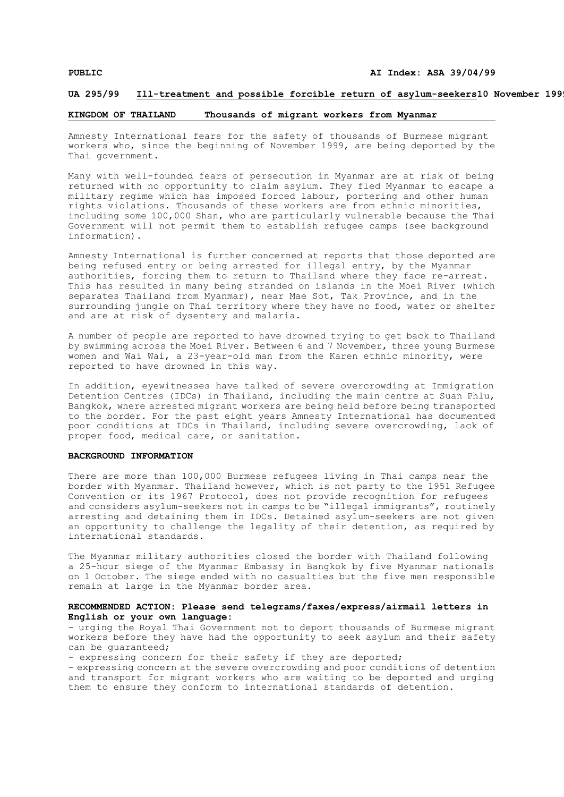## **UA 295/99 Ill-treatment and possible forcible return of asylum-seekers10 November 1999**

## **KINGDOM OF THAILAND Thousands of migrant workers from Myanmar**

Amnesty International fears for the safety of thousands of Burmese migrant workers who, since the beginning of November 1999, are being deported by the Thai government.

Many with well-founded fears of persecution in Myanmar are at risk of being returned with no opportunity to claim asylum. They fled Myanmar to escape a military regime which has imposed forced labour, portering and other human rights violations. Thousands of these workers are from ethnic minorities, including some 100,000 Shan, who are particularly vulnerable because the Thai Government will not permit them to establish refugee camps (see background information).

Amnesty International is further concerned at reports that those deported are being refused entry or being arrested for illegal entry, by the Myanmar authorities, forcing them to return to Thailand where they face re-arrest. This has resulted in many being stranded on islands in the Moei River (which separates Thailand from Myanmar), near Mae Sot, Tak Province, and in the surrounding jungle on Thai territory where they have no food, water or shelter and are at risk of dysentery and malaria.

A number of people are reported to have drowned trying to get back to Thailand by swimming across the Moei River. Between 6 and 7 November, three young Burmese women and Wai Wai, a 23-year-old man from the Karen ethnic minority, were reported to have drowned in this way.

In addition, eyewitnesses have talked of severe overcrowding at Immigration Detention Centres (IDCs) in Thailand, including the main centre at Suan Phlu, Bangkok, where arrested migrant workers are being held before being transported to the border. For the past eight years Amnesty International has documented poor conditions at IDCs in Thailand, including severe overcrowding, lack of proper food, medical care, or sanitation.

## **BACKGROUND INFORMATION**

There are more than 100,000 Burmese refugees living in Thai camps near the border with Myanmar. Thailand however, which is not party to the 1951 Refugee Convention or its 1967 Protocol, does not provide recognition for refugees and considers asylum-seekers not in camps to be "illegal immigrants", routinely arresting and detaining them in IDCs. Detained asylum-seekers are not given an opportunity to challenge the legality of their detention, as required by international standards.

The Myanmar military authorities closed the border with Thailand following a 25-hour siege of the Myanmar Embassy in Bangkok by five Myanmar nationals on 1 October. The siege ended with no casualties but the five men responsible remain at large in the Myanmar border area.

## **RECOMMENDED ACTION: Please send telegrams/faxes/express/airmail letters in English or your own language:**

- urging the Royal Thai Government not to deport thousands of Burmese migrant workers before they have had the opportunity to seek asylum and their safety can be guaranteed;

- expressing concern for their safety if they are deported;

- expressing concern at the severe overcrowding and poor conditions of detention and transport for migrant workers who are waiting to be deported and urging them to ensure they conform to international standards of detention.